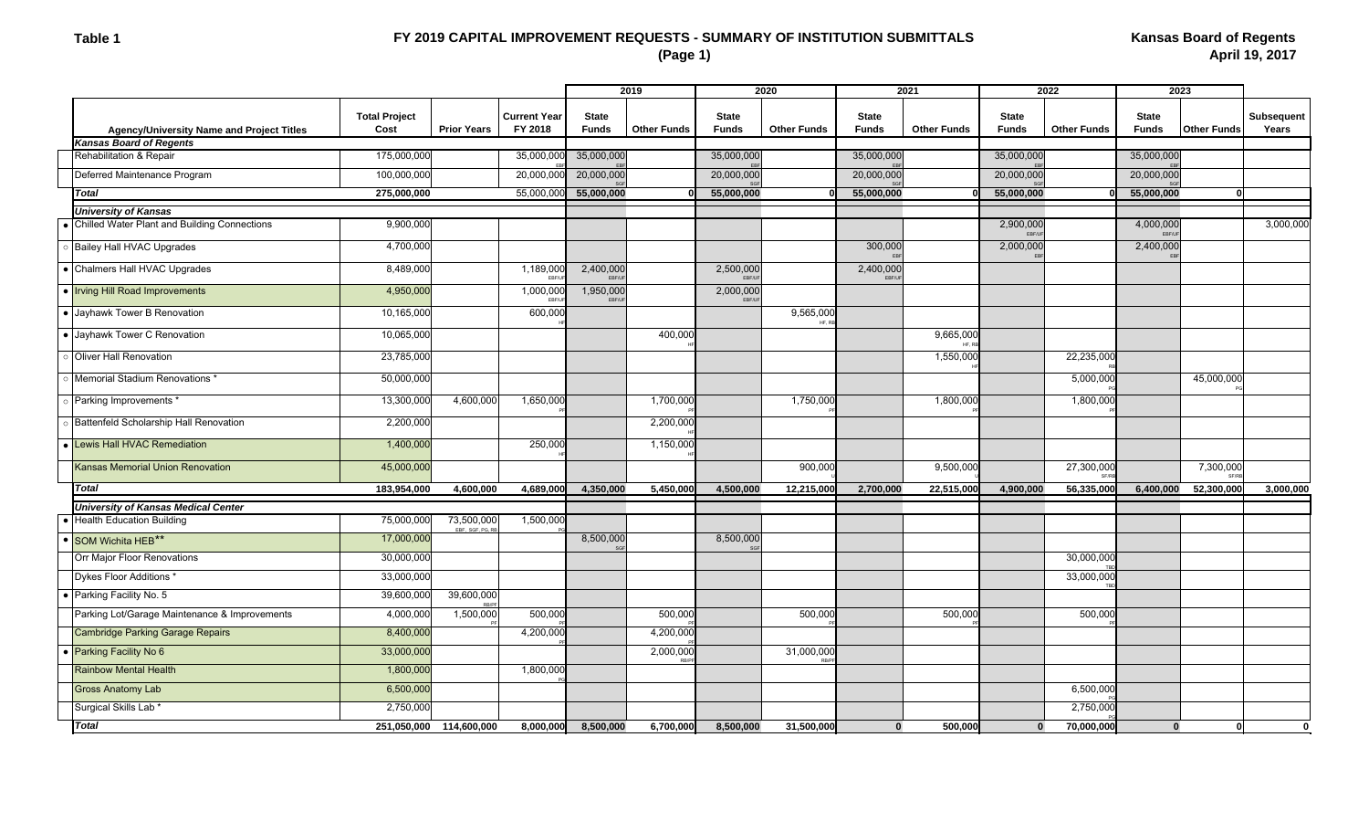#### **Table 1**

# **FY 2019 CAPITAL IMPROVEMENT REQUESTS - SUMMARY OF INSTITUTION SUBMITTALS (Page 1)**

|                                               |                                       |                               |                                | 2019                         |                    | 2020                         |                    | 2021                         |                    | 2022                         |                    | 2023                  |                    |                            |
|-----------------------------------------------|---------------------------------------|-------------------------------|--------------------------------|------------------------------|--------------------|------------------------------|--------------------|------------------------------|--------------------|------------------------------|--------------------|-----------------------|--------------------|----------------------------|
|                                               |                                       |                               |                                |                              |                    |                              |                    |                              |                    |                              |                    |                       |                    |                            |
| Agency/University Name and Project Titles     | <b>Total Project</b><br>Cost          | <b>Prior Years</b>            | <b>Current Year</b><br>FY 2018 | <b>State</b><br><b>Funds</b> | <b>Other Funds</b> | <b>State</b><br><b>Funds</b> | <b>Other Funds</b> | <b>State</b><br><b>Funds</b> | <b>Other Funds</b> | <b>State</b><br><b>Funds</b> | <b>Other Funds</b> | <b>State</b><br>Funds | <b>Other Funds</b> | <b>Subsequent</b><br>Years |
| <b>Kansas Board of Regents</b>                |                                       |                               |                                |                              |                    |                              |                    |                              |                    |                              |                    |                       |                    |                            |
| Rehabilitation & Repair                       | 175,000,000                           |                               | 35,000,000                     | 35,000,000                   |                    | 35,000,000                   |                    | 35,000,000                   |                    | 35,000,000                   |                    | 35,000,000            |                    |                            |
| Deferred Maintenance Program                  | 100,000,000                           |                               | 20,000,000                     | 20,000,000                   |                    | 20,000,000                   |                    | 20,000,000                   |                    | 20,000,000                   |                    | 20,000,000            |                    |                            |
| <b>Total</b>                                  | 275,000,000                           |                               | 55,000,000                     | 55,000,000                   |                    | 55,000,000                   |                    | 55,000,000                   |                    | 55,000,000                   |                    | 55,000,000            | ŋ                  |                            |
| <b>University of Kansas</b>                   |                                       |                               |                                |                              |                    |                              |                    |                              |                    |                              |                    |                       |                    |                            |
| Chilled Water Plant and Building Connections  | 9,900,000                             |                               |                                |                              |                    |                              |                    |                              |                    | 2,900,000<br><b>FREAI</b>    |                    | 4.000.000             |                    | 3,000,000                  |
| <b>Bailey Hall HVAC Upgrades</b>              | 4,700,000                             |                               |                                |                              |                    |                              |                    | 300,000                      |                    | 2,000,000                    |                    | 2,400,000             |                    |                            |
| • Chalmers Hall HVAC Upgrades                 | 8,489,000                             |                               | 1,189,000<br>EBF/L             | 2,400,000<br>EBF/U           |                    | 2,500,000<br><b>FBE/U</b>    |                    | 2,400,000<br>EBF/L           |                    |                              |                    |                       |                    |                            |
| • Irving Hill Road Improvements               | 4,950,000                             |                               | 1,000,000<br>EBF/U             | 1,950,000<br>EBF/U           |                    | 2,000,000<br>EBF/UF          |                    |                              |                    |                              |                    |                       |                    |                            |
| • Jayhawk Tower B Renovation                  | 10,165,000                            |                               | 600,000                        |                              |                    |                              | 9,565,000<br>HF.   |                              |                    |                              |                    |                       |                    |                            |
| • Jayhawk Tower C Renovation                  | 10,065,000                            |                               |                                |                              | 400,000            |                              |                    |                              | 9,665,000          |                              |                    |                       |                    |                            |
| Oliver Hall Renovation                        | 23,785,000                            |                               |                                |                              |                    |                              |                    |                              | 1,550,000          |                              | 22,235,000         |                       |                    |                            |
| Memorial Stadium Renovations *                | 50,000,000                            |                               |                                |                              |                    |                              |                    |                              |                    |                              | 5,000,00           |                       | 45,000,000         |                            |
| Parking Improvements *                        | 13,300,000                            | 4,600,000                     | 1,650,000                      |                              | 1,700,000          |                              | 1,750,000          |                              | 1,800,000          |                              | 1,800,000          |                       |                    |                            |
| Battenfeld Scholarship Hall Renovation        | 2,200,000                             |                               |                                |                              | 2,200,000          |                              |                    |                              |                    |                              |                    |                       |                    |                            |
| Lewis Hall HVAC Remediation                   | 1,400,000                             |                               | 250,000                        |                              | 1,150,000          |                              |                    |                              |                    |                              |                    |                       |                    |                            |
| <b>Kansas Memorial Union Renovation</b>       | 45,000,000                            |                               |                                |                              |                    |                              | 900,000            |                              | 9,500,000          |                              | 27,300,000         |                       | 7,300,000          |                            |
| <b>Total</b>                                  | 183,954,000<br>4,600,000<br>4,689,000 |                               | 4,350,000                      | 5,450,000                    | 4,500,000          | 12,215,000                   | 2,700,000          | 22,515,000                   | 4,900,000          | 56,335,000                   | 6,400,000          | 52,300,000            | 3,000,000          |                            |
| <b>University of Kansas Medical Center</b>    |                                       |                               |                                |                              |                    |                              |                    |                              |                    |                              |                    |                       |                    |                            |
| <b>Health Education Building</b>              | 75,000,000                            | 73,500,000<br>EBF, SGF, PG, R | 1,500,000                      |                              |                    |                              |                    |                              |                    |                              |                    |                       |                    |                            |
| SOM Wichita HEB**                             | 17,000,000                            |                               |                                | 8,500,000                    |                    | 8,500,000                    |                    |                              |                    |                              |                    |                       |                    |                            |
| Orr Major Floor Renovations                   | 30,000,000                            |                               |                                |                              |                    |                              |                    |                              |                    |                              | 30,000,000         |                       |                    |                            |
| Dykes Floor Additions *                       | 33,000,000                            |                               |                                |                              |                    |                              |                    |                              |                    |                              | 33,000,000         |                       |                    |                            |
| Parking Facility No. 5                        | 39,600,000                            | 39,600,000                    |                                |                              |                    |                              |                    |                              |                    |                              |                    |                       |                    |                            |
| Parking Lot/Garage Maintenance & Improvements | 4,000,000                             | 1,500,000                     | 500,000                        |                              | 500,000            |                              | 500,000            |                              | 500,000            |                              | 500,000            |                       |                    |                            |
| <b>Cambridge Parking Garage Repairs</b>       | 8,400,000                             |                               | 4,200,000                      |                              | 4,200,000          |                              |                    |                              |                    |                              |                    |                       |                    |                            |
| Parking Facility No 6                         | 33,000,000                            |                               |                                |                              | 2,000,000          |                              | 31,000,000         |                              |                    |                              |                    |                       |                    |                            |
| <b>Rainbow Mental Health</b>                  | 1,800,000                             |                               | 1,800,000                      |                              |                    |                              |                    |                              |                    |                              |                    |                       |                    |                            |
| <b>Gross Anatomy Lab</b>                      | 6,500,000                             |                               |                                |                              |                    |                              |                    |                              |                    |                              | 6,500,000          |                       |                    |                            |
| Surgical Skills Lab <sup>*</sup>              | 2,750,000                             |                               |                                |                              |                    |                              |                    |                              |                    |                              | 2,750,000          |                       |                    |                            |
| <b>Total</b>                                  |                                       | 251,050,000 114,600,000       |                                | 8,000,000 8,500,000          | 6,700,000          | 8,500,000                    | 31,500,000         | $\Omega$                     | 500.000            | $\Omega$                     | 70.000.000         | $\bf{0}$              | $\Omega$           |                            |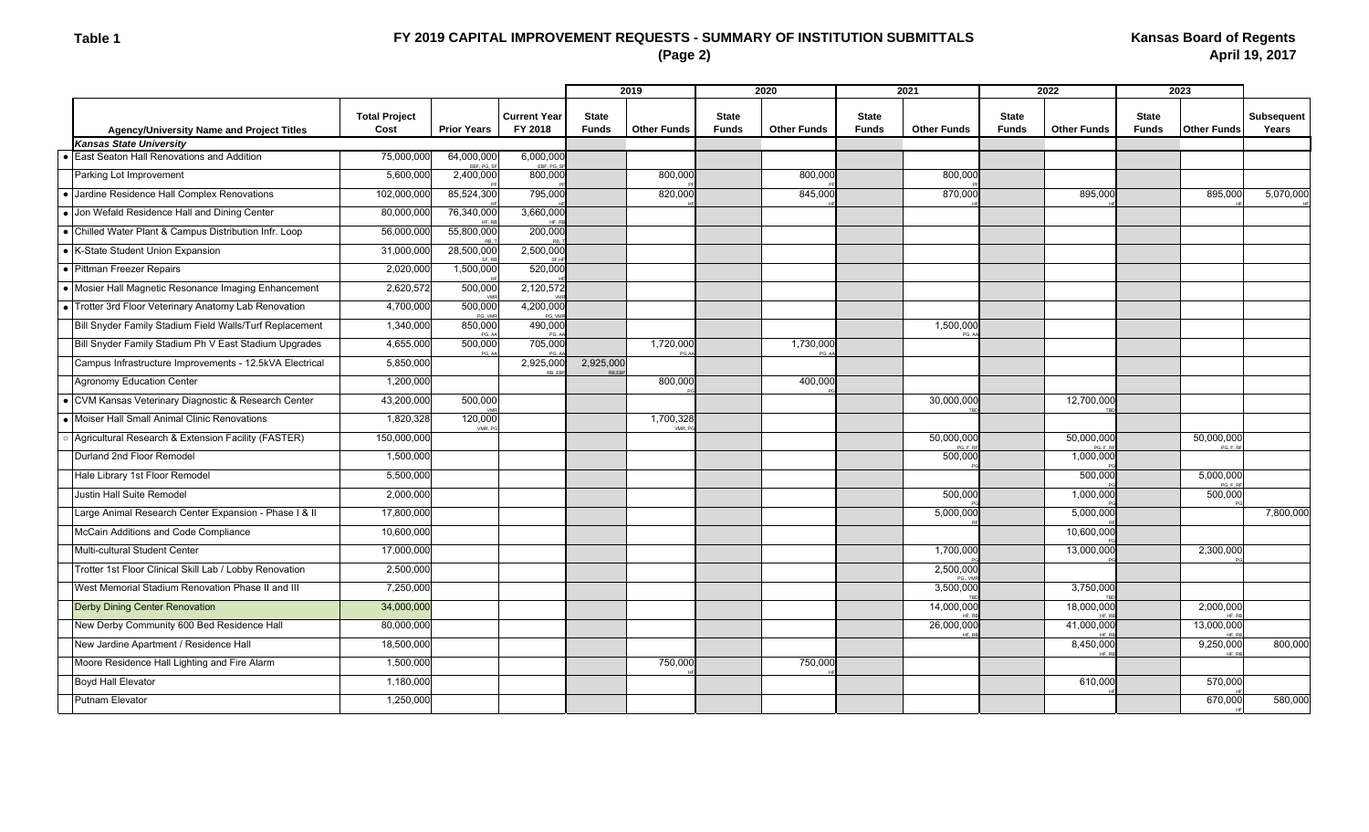# **FY 2019 CAPITAL IMPROVEMENT REQUESTS - SUMMARY OF INSTITUTION SUBMITTALS (Page 2)**

|                                                         |                              |                      |                                |                              | 2019               |                              | 2020               | 2021                         |                    | 2022                         |                    | 2023                         |                    |                            |  |
|---------------------------------------------------------|------------------------------|----------------------|--------------------------------|------------------------------|--------------------|------------------------------|--------------------|------------------------------|--------------------|------------------------------|--------------------|------------------------------|--------------------|----------------------------|--|
| Agency/University Name and Project Titles               | <b>Total Project</b><br>Cost | <b>Prior Years</b>   | <b>Current Year</b><br>FY 2018 | <b>State</b><br><b>Funds</b> | <b>Other Funds</b> | <b>State</b><br><b>Funds</b> | <b>Other Funds</b> | <b>State</b><br><b>Funds</b> | <b>Other Funds</b> | <b>State</b><br><b>Funds</b> | <b>Other Funds</b> | <b>State</b><br><b>Funds</b> | <b>Other Funds</b> | <b>Subsequent</b><br>Years |  |
| <b>Kansas State University</b>                          |                              |                      |                                |                              |                    |                              |                    |                              |                    |                              |                    |                              |                    |                            |  |
| • East Seaton Hall Renovations and Addition             | 75,000,000                   | 64,000,000<br>FRE PG | 6,000,000<br>FRE PG            |                              |                    |                              |                    |                              |                    |                              |                    |                              |                    |                            |  |
| Parking Lot Improvement                                 | 5,600,000                    | 2,400,000            | 800,000                        |                              | 800,000            |                              | 800,000            |                              | 800,000            |                              |                    |                              |                    |                            |  |
| • Jardine Residence Hall Complex Renovations            | 102,000,000                  | 85,524,300           | 795,000                        |                              | 820,000            |                              | 845,000            |                              | 870,000            |                              | 895,000            |                              | 895,000            | 5,070,000                  |  |
| • Jon Wefald Residence Hall and Dining Center           | 80,000,00                    | 76,340,000           | 3,660,000                      |                              |                    |                              |                    |                              |                    |                              |                    |                              |                    |                            |  |
| • Chilled Water Plant & Campus Distribution Infr. Loop  | 56,000,000                   | 55,800,000           | 200,000                        |                              |                    |                              |                    |                              |                    |                              |                    |                              |                    |                            |  |
| • K-State Student Union Expansion                       | 31,000,000                   | 28,500,000           | 2,500,000                      |                              |                    |                              |                    |                              |                    |                              |                    |                              |                    |                            |  |
| • Pittman Freezer Repairs                               | 2,020,000                    | 1,500,000            | 520,000                        |                              |                    |                              |                    |                              |                    |                              |                    |                              |                    |                            |  |
| • Mosier Hall Magnetic Resonance Imaging Enhancement    | 2,620,572                    | 500,000              | 2,120,572                      |                              |                    |                              |                    |                              |                    |                              |                    |                              |                    |                            |  |
| • Trotter 3rd Floor Veterinary Anatomy Lab Renovation   | 4,700,000                    | 500,000<br>PG. VM    | 4,200,000<br>PG VI             |                              |                    |                              |                    |                              |                    |                              |                    |                              |                    |                            |  |
| Bill Snyder Family Stadium Field Walls/Turf Replacement | 1,340,000                    | 850,000<br>PG        | 490,000<br>PG.                 |                              |                    |                              |                    |                              | 1,500,000          |                              |                    |                              |                    |                            |  |
| Bill Snyder Family Stadium Ph V East Stadium Upgrades   | 4,655,000                    | 500,000              | 705,000                        |                              | 1,720,000          |                              | 1,730,000          |                              |                    |                              |                    |                              |                    |                            |  |
| Campus Infrastructure Improvements - 12.5kVA Electrical | 5,850,000                    |                      | 2,925,000                      | 2,925,000                    |                    |                              |                    |                              |                    |                              |                    |                              |                    |                            |  |
| Agronomy Education Center                               | 1,200,000                    |                      |                                |                              | 800,000            |                              | 400,000            |                              |                    |                              |                    |                              |                    |                            |  |
| • CVM Kansas Veterinary Diagnostic & Research Center    | 43,200,000                   | 500,000              |                                |                              |                    |                              |                    |                              | 30,000,000         |                              | 12,700,000         |                              |                    |                            |  |
| • Moiser Hall Small Animal Clinic Renovations           | 1,820,328                    | 120,000<br>VMR F     |                                |                              | 1,700,328<br>VMR F |                              |                    |                              |                    |                              |                    |                              |                    |                            |  |
| Agricultural Research & Extension Facility (FASTER)     | 150,000,000                  |                      |                                |                              |                    |                              |                    |                              | 50,000,000<br>PG F |                              | 50,000,000<br>PG F |                              | 50,000,000<br>PG F |                            |  |
| Durland 2nd Floor Remodel                               | 1,500,000                    |                      |                                |                              |                    |                              |                    |                              | 500,000            |                              | 1,000,000          |                              |                    |                            |  |
| Hale Library 1st Floor Remodel                          | 5,500,000                    |                      |                                |                              |                    |                              |                    |                              |                    |                              | 500,00             |                              | 5,000,000          |                            |  |
| Justin Hall Suite Remodel                               | 2,000,000                    |                      |                                |                              |                    |                              |                    |                              | 500,000            |                              | 1,000,000          |                              | 500,000            |                            |  |
| Large Animal Research Center Expansion - Phase I & II   | 17,800,000                   |                      |                                |                              |                    |                              |                    |                              | 5,000,000          |                              | 5,000,000          |                              |                    | 7,800,000                  |  |
| McCain Additions and Code Compliance                    | 10,600,000                   |                      |                                |                              |                    |                              |                    |                              |                    |                              | 10,600,000         |                              |                    |                            |  |
| Multi-cultural Student Center                           | 17,000,000                   |                      |                                |                              |                    |                              |                    |                              | 1,700,000          |                              | 13,000,000         |                              | 2,300,000          |                            |  |
| Trotter 1st Floor Clinical Skill Lab / Lobby Renovation | 2,500,000                    |                      |                                |                              |                    |                              |                    |                              | 2,500,000          |                              |                    |                              |                    |                            |  |
| West Memorial Stadium Renovation Phase II and III       | 7,250,000                    |                      |                                |                              |                    |                              |                    |                              | 3,500,000          |                              | 3,750,000          |                              |                    |                            |  |
| <b>Derby Dining Center Renovation</b>                   | 34,000,000                   |                      |                                |                              |                    |                              |                    |                              | 14,000,000         |                              | 18,000,000         |                              | 2,000,000          |                            |  |
| New Derby Community 600 Bed Residence Hall              | 80,000,000                   |                      |                                |                              |                    |                              |                    |                              | 26,000,000         |                              | 41.000.000         |                              | 13,000,000         |                            |  |
| New Jardine Apartment / Residence Hall                  | 18,500,000                   |                      |                                |                              |                    |                              |                    |                              |                    |                              | 8,450,000          |                              | 9,250,000          | 800,000                    |  |
| Moore Residence Hall Lighting and Fire Alarm            | 1,500,000                    |                      |                                |                              | 750,000            |                              | 750,000            |                              |                    |                              |                    |                              |                    |                            |  |
| Boyd Hall Elevator                                      | 1,180,000                    |                      |                                |                              |                    |                              |                    |                              |                    |                              | 610,000            |                              | 570,000            |                            |  |
| Putnam Elevator                                         | 1,250,000                    |                      |                                |                              |                    |                              |                    |                              |                    |                              |                    |                              | 670,000            | 580,000                    |  |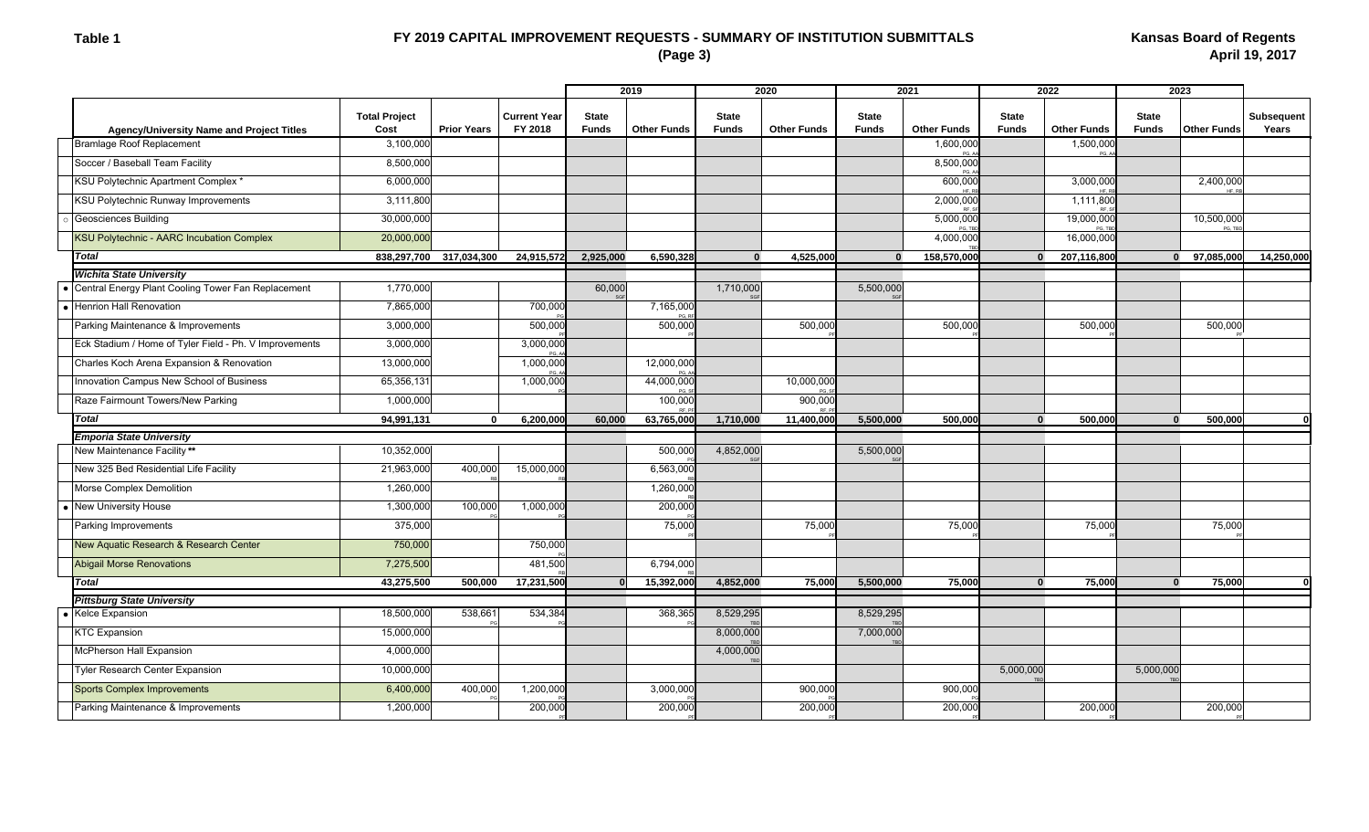### **Table 1**

# **FY 2019 CAPITAL IMPROVEMENT REQUESTS - SUMMARY OF INSTITUTION SUBMITTALS (Page 3)**

|                                                        |                              |                    |                                | 2019                         |                    | 2020                         |                    | 2021                         |                    | 2022                         |                    | 2023                         |                    |                     |
|--------------------------------------------------------|------------------------------|--------------------|--------------------------------|------------------------------|--------------------|------------------------------|--------------------|------------------------------|--------------------|------------------------------|--------------------|------------------------------|--------------------|---------------------|
| <b>Agency/University Name and Project Titles</b>       | <b>Total Project</b><br>Cost | <b>Prior Years</b> | <b>Current Year</b><br>FY 2018 | <b>State</b><br><b>Funds</b> | <b>Other Funds</b> | <b>State</b><br><b>Funds</b> | <b>Other Funds</b> | <b>State</b><br><b>Funds</b> | <b>Other Funds</b> | <b>State</b><br><b>Funds</b> | <b>Other Funds</b> | <b>State</b><br><b>Funds</b> | <b>Other Funds</b> | Subsequent<br>Years |
| <b>Bramlage Roof Replacement</b>                       | 3,100,000                    |                    |                                |                              |                    |                              |                    |                              | 1,600,000          |                              | 1,500,000<br>PG 4  |                              |                    |                     |
| Soccer / Baseball Team Facility                        | 8,500,000                    |                    |                                |                              |                    |                              |                    |                              | 8,500,000          |                              |                    |                              |                    |                     |
| KSU Polytechnic Apartment Complex '                    | 6,000,000                    |                    |                                |                              |                    |                              |                    |                              | 600,000            |                              | 3,000,000          |                              | 2,400,000          |                     |
| KSU Polytechnic Runway Improvements                    | 3,111,800                    |                    |                                |                              |                    |                              |                    |                              | 2,000,000          |                              | 1,111,800          |                              |                    |                     |
| Geosciences Building                                   | 30,000,000                   |                    |                                |                              |                    |                              |                    |                              | 5,000,000<br>PG T  |                              | 19,000,000         |                              | 10,500,000         |                     |
| <b>KSU Polytechnic - AARC Incubation Complex</b>       | 20,000,000                   |                    |                                |                              |                    |                              |                    |                              | 4,000,000          |                              | 16,000,000         |                              |                    |                     |
| <b>Total</b>                                           | 838,297,700                  | 317,034,300        | 24,915,572                     | 2.925.000                    | 6,590,328          | $\mathbf{0}$                 | 4.525.000          | $\bf{0}$                     | 158,570,000        | $\mathbf{0}$                 | 207,116,800        |                              | 0 97,085,000       | 14,250,000          |
| <b>Wichita State University</b>                        |                              |                    |                                |                              |                    |                              |                    |                              |                    |                              |                    |                              |                    |                     |
| Central Energy Plant Cooling Tower Fan Replacement     | 1,770,000                    |                    |                                | 60,000                       |                    | 1,710,000                    |                    | 5,500,000                    |                    |                              |                    |                              |                    |                     |
| Henrion Hall Renovation                                | 7,865,000                    |                    | 700,000                        |                              | 7,165,000          |                              |                    |                              |                    |                              |                    |                              |                    |                     |
| Parking Maintenance & Improvements                     | 3,000,000                    |                    | 500,000                        |                              | 500,000            |                              | 500,000            |                              | 500,00             |                              | 500,000            |                              | 500,000            |                     |
| Eck Stadium / Home of Tyler Field - Ph. V Improvements | 3,000,000                    |                    | 3,000,000                      |                              |                    |                              |                    |                              |                    |                              |                    |                              |                    |                     |
| Charles Koch Arena Expansion & Renovation              | 13,000,000                   |                    | 1,000,000                      |                              | 12,000,000         |                              |                    |                              |                    |                              |                    |                              |                    |                     |
| Innovation Campus New School of Business               | 65,356,131                   |                    | 1,000,000                      |                              | 44,000,000         |                              | 10,000,000         |                              |                    |                              |                    |                              |                    |                     |
| Raze Fairmount Towers/New Parking                      | 1,000,000                    |                    |                                |                              | 100,000            |                              | 900,000            |                              |                    |                              |                    |                              |                    |                     |
| Total                                                  | 94,991,131                   | n                  | 6,200,000                      | 60.000                       | 63,765,000         | 1.710.000                    | 11,400,000         | 5,500,000                    | 500.000            | $\Omega$                     | 500,000            | $\Omega$                     | 500,000            |                     |
| <b>Emporia State University</b>                        |                              |                    |                                |                              |                    |                              |                    |                              |                    |                              |                    |                              |                    |                     |
| New Maintenance Facility**                             | 10,352,000                   |                    |                                |                              | 500,000            | 4.852.000                    |                    | 5,500,000                    |                    |                              |                    |                              |                    |                     |
| New 325 Bed Residential Life Facility                  | 21,963,000                   | 400,000            | 15,000,000                     |                              | 6,563,000          |                              |                    |                              |                    |                              |                    |                              |                    |                     |
| Morse Complex Demolition                               | 1,260,000                    |                    |                                |                              | 1,260,000          |                              |                    |                              |                    |                              |                    |                              |                    |                     |
| <b>New University House</b>                            | 1,300,000                    | 100,000            | 1,000,000                      |                              | 200,000            |                              |                    |                              |                    |                              |                    |                              |                    |                     |
| Parking Improvements                                   | 375,000                      |                    |                                |                              | 75,000             |                              | 75,000             |                              | 75,000             |                              | 75,000             |                              | 75,000             |                     |
| New Aquatic Research & Research Center                 | 750,000                      |                    | 750,000                        |                              |                    |                              |                    |                              |                    |                              |                    |                              |                    |                     |
| <b>Abigail Morse Renovations</b>                       | 7,275,500                    |                    | 481,500                        |                              | 6,794,000          |                              |                    |                              |                    |                              |                    |                              |                    |                     |
| <b>Total</b>                                           | 43,275,500                   | 500,000            | 17,231,500                     |                              | 15,392,000         | 4,852,000                    | 75,000             | 5,500,000                    | 75,000             | $\mathbf{0}$                 | 75,000             | $\Omega$                     | 75,000             |                     |
| <b>Pittsburg State University</b>                      |                              |                    |                                |                              |                    |                              |                    |                              |                    |                              |                    |                              |                    |                     |
| Kelce Expansion                                        | 18,500,000                   | 538,661            | 534,384                        |                              | 368,365            | 8,529,295                    |                    | 8,529,295                    |                    |                              |                    |                              |                    |                     |
| <b>KTC Expansion</b>                                   | 15,000,000                   |                    |                                |                              |                    | 8,000,000                    |                    | 7,000,000                    |                    |                              |                    |                              |                    |                     |
| McPherson Hall Expansion                               | 4,000,000                    |                    |                                |                              |                    | 4,000,000                    |                    |                              |                    |                              |                    |                              |                    |                     |
| Tyler Research Center Expansion                        | 10,000,000                   |                    |                                |                              |                    |                              |                    |                              |                    | 5,000,000                    |                    | 5,000,000                    |                    |                     |
| <b>Sports Complex Improvements</b>                     | 6,400,000                    | 400,000            | 1,200,000                      |                              | 3,000,000          |                              | 900,00             |                              | 900,000            |                              |                    |                              |                    |                     |
| Parking Maintenance & Improvements                     | 1,200,000                    |                    | 200,000                        |                              | 200,000            |                              | 200,00             |                              | 200,00             |                              | 200,000            |                              | 200,000            |                     |